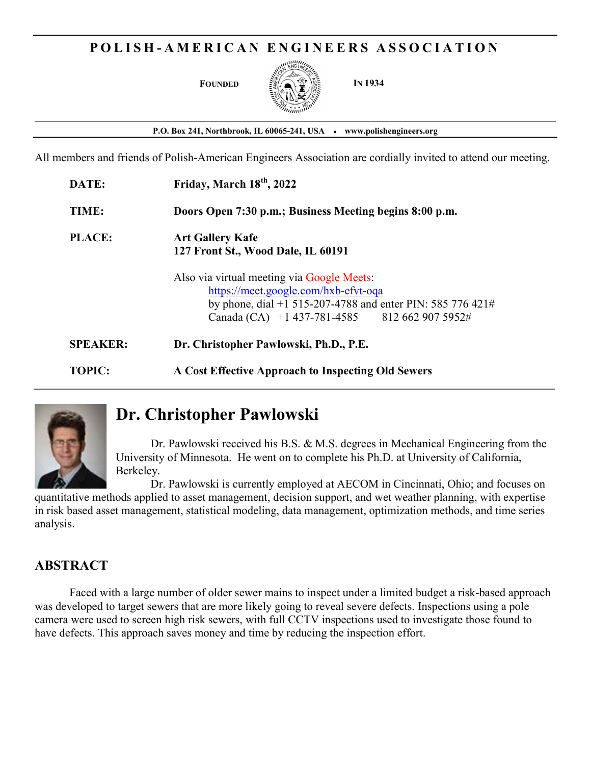## POLISH-AMERICAN ENGINEERS ASSOCIATION



P.O. Box 241, Northbrook, IL 60065-241, USA • www.polishengineers.org

All members and friends of Polish-American Engineers Association are cordially invited to attend our meeting.

| DATE:           | Friday, March 18 <sup>th</sup> , 2022                                                                                                                                                             |
|-----------------|---------------------------------------------------------------------------------------------------------------------------------------------------------------------------------------------------|
| TIME:           | Doors Open 7:30 p.m.; Business Meeting begins 8:00 p.m.                                                                                                                                           |
| <b>PLACE:</b>   | <b>Art Gallery Kafe</b><br>127 Front St., Wood Dale, IL 60191                                                                                                                                     |
|                 | Also via virtual meeting via Google Meets:<br>https://meet.google.com/hxb-efvt-oqa<br>by phone, dial +1 515-207-4788 and enter PIN: 585 776 421#<br>Canada (CA) +1 437-781-4585 812 662 907 5952# |
| <b>SPEAKER:</b> | Dr. Christopher Pawlowski, Ph.D., P.E.                                                                                                                                                            |
| <b>TOPIC:</b>   | A Cost Effective Approach to Inspecting Old Sewers                                                                                                                                                |



# Dr. Christopher Pawlowski

 Dr. Pawlowski received his B.S. & M.S. degrees in Mechanical Engineering from the University of Minnesota. He went on to complete his Ph.D. at University of California, Berkeley.

Dr. Pawlowski is currently employed at AECOM in Cincinnati, Ohio; and focuses on quantitative methods applied to asset management, decision support, and wet weather planning, with expertise in risk based asset management, statistical modeling, data management, optimization methods, and time series analysis.

## ABSTRACT

Faced with a large number of older sewer mains to inspect under a limited budget a risk-based approach was developed to target sewers that are more likely going to reveal severe defects. Inspections using a pole camera were used to screen high risk sewers, with full CCTV inspections used to investigate those found to have defects. This approach saves money and time by reducing the inspection effort.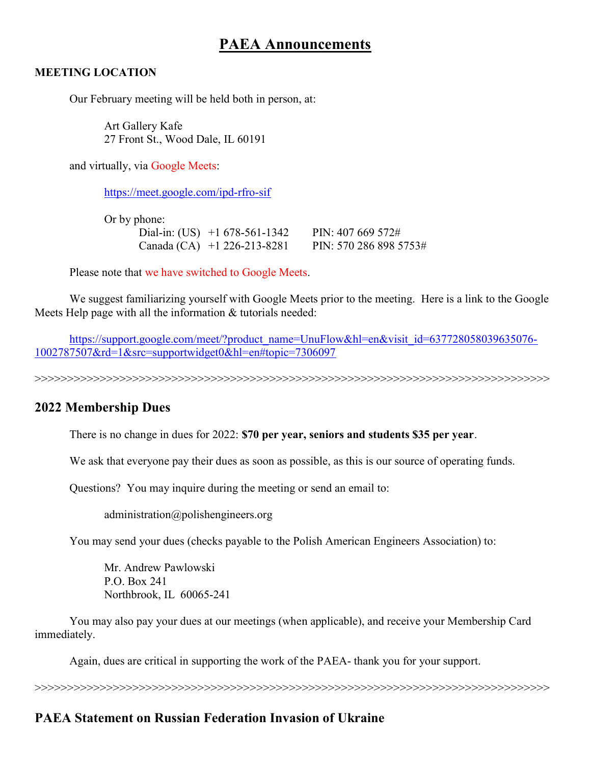## PAEA Announcements

#### MEETING LOCATION

Our February meeting will be held both in person, at:

Art Gallery Kafe 27 Front St., Wood Dale, IL 60191

and virtually, via Google Meets:

https://meet.google.com/ipd-rfro-sif

Or by phone: Dial-in: (US) +1 678-561-1342 PIN: 407 669 572# Canada (CA) +1 226-213-8281 PIN: 570 286 898 5753#

Please note that we have switched to Google Meets.

We suggest familiarizing yourself with Google Meets prior to the meeting. Here is a link to the Google Meets Help page with all the information & tutorials needed:

https://support.google.com/meet/?product\_name=UnuFlow&hl=en&visit\_id=637728058039635076-1002787507&rd=1&src=supportwidget0&hl=en#topic=7306097

>>>>>>>>>>>>>>>>>>>>>>>>>>>>>>>>>>>>>>>>>>>>>>>>>>>>>>>>>>>>>>>>>>>>>>>>>>>>>>>

## 2022 Membership Dues

There is no change in dues for 2022: \$70 per year, seniors and students \$35 per year.

We ask that everyone pay their dues as soon as possible, as this is our source of operating funds.

Questions? You may inquire during the meeting or send an email to:

administration@polishengineers.org

You may send your dues (checks payable to the Polish American Engineers Association) to:

Mr. Andrew Pawlowski P.O. Box 241 Northbrook, IL 60065-241

You may also pay your dues at our meetings (when applicable), and receive your Membership Card immediately.

Again, dues are critical in supporting the work of the PAEA- thank you for your support.

>>>>>>>>>>>>>>>>>>>>>>>>>>>>>>>>>>>>>>>>>>>>>>>>>>>>>>>>>>>>>>>>>>>>>>>>>>>>>>>

## PAEA Statement on Russian Federation Invasion of Ukraine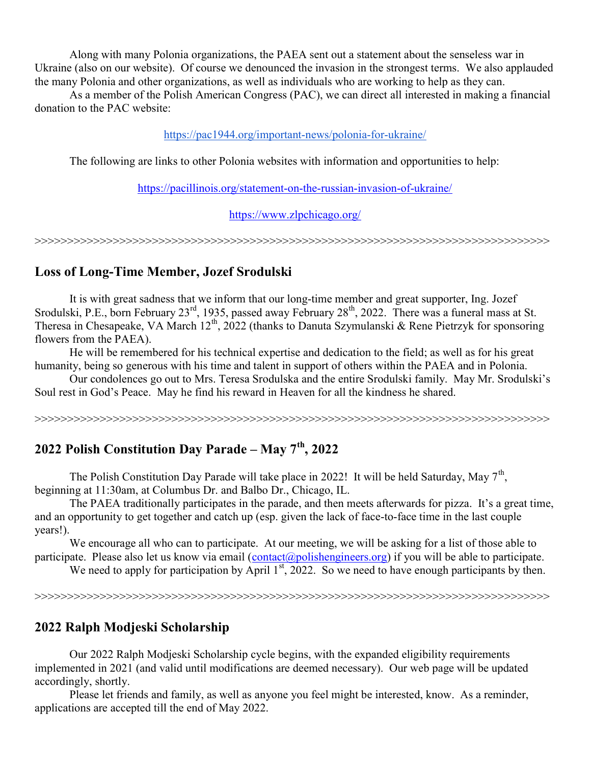Along with many Polonia organizations, the PAEA sent out a statement about the senseless war in Ukraine (also on our website). Of course we denounced the invasion in the strongest terms. We also applauded the many Polonia and other organizations, as well as individuals who are working to help as they can.

 As a member of the Polish American Congress (PAC), we can direct all interested in making a financial donation to the PAC website:

#### https://pac1944.org/important-news/polonia-for-ukraine/

The following are links to other Polonia websites with information and opportunities to help:

https://pacillinois.org/statement-on-the-russian-invasion-of-ukraine/

https://www.zlpchicago.org/

>>>>>>>>>>>>>>>>>>>>>>>>>>>>>>>>>>>>>>>>>>>>>>>>>>>>>>>>>>>>>>>>>>>>>>>>>>>>>>>

## Loss of Long-Time Member, Jozef Srodulski

 It is with great sadness that we inform that our long-time member and great supporter, Ing. Jozef Srodulski, P.E., born February 23<sup>rd</sup>, 1935, passed away February 28<sup>th</sup>, 2022. There was a funeral mass at St. Theresa in Chesapeake, VA March  $12^{th}$ , 2022 (thanks to Danuta Szymulanski & Rene Pietrzyk for sponsoring flowers from the PAEA).

He will be remembered for his technical expertise and dedication to the field; as well as for his great humanity, being so generous with his time and talent in support of others within the PAEA and in Polonia.

 Our condolences go out to Mrs. Teresa Srodulska and the entire Srodulski family. May Mr. Srodulski's Soul rest in God's Peace. May he find his reward in Heaven for all the kindness he shared.

>>>>>>>>>>>>>>>>>>>>>>>>>>>>>>>>>>>>>>>>>>>>>>>>>>>>>>>>>>>>>>>>>>>>>>>>>>>>>>>

## 2022 Polish Constitution Day Parade – May  $7<sup>th</sup>$ , 2022

The Polish Constitution Day Parade will take place in 2022! It will be held Saturday, May  $7<sup>th</sup>$ , beginning at 11:30am, at Columbus Dr. and Balbo Dr., Chicago, IL.

 The PAEA traditionally participates in the parade, and then meets afterwards for pizza. It's a great time, and an opportunity to get together and catch up (esp. given the lack of face-to-face time in the last couple years!).

We encourage all who can to participate. At our meeting, we will be asking for a list of those able to participate. Please also let us know via email  $(\text{contact}(\hat{a})$  polishengineers.org) if you will be able to participate.

We need to apply for participation by April  $1<sup>st</sup>$ , 2022. So we need to have enough participants by then.

>>>>>>>>>>>>>>>>>>>>>>>>>>>>>>>>>>>>>>>>>>>>>>>>>>>>>>>>>>>>>>>>>>>>>>>>>>>>>>>

## 2022 Ralph Modjeski Scholarship

 Our 2022 Ralph Modjeski Scholarship cycle begins, with the expanded eligibility requirements implemented in 2021 (and valid until modifications are deemed necessary). Our web page will be updated accordingly, shortly.

 Please let friends and family, as well as anyone you feel might be interested, know. As a reminder, applications are accepted till the end of May 2022.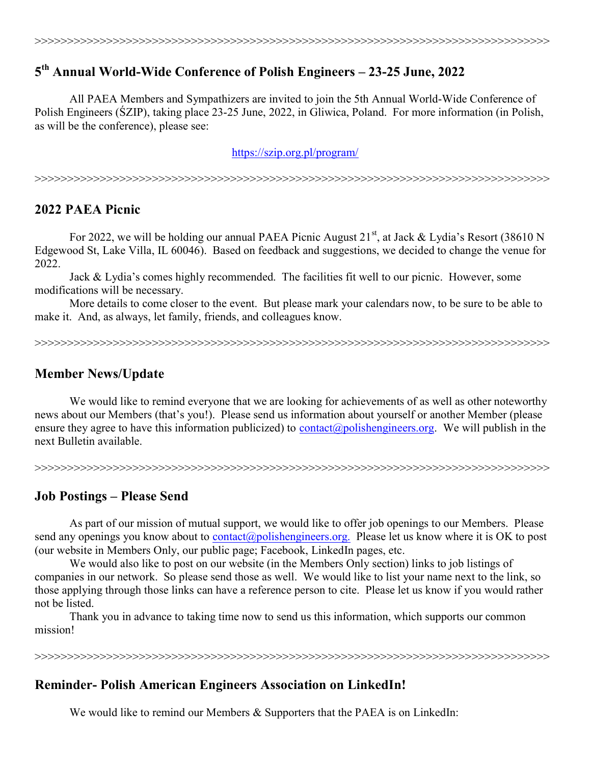## 5 th Annual World-Wide Conference of Polish Engineers – 23-25 June, 2022

 All PAEA Members and Sympathizers are invited to join the 5th Annual World-Wide Conference of Polish Engineers (ŚZIP), taking place 23-25 June, 2022, in Gliwica, Poland. For more information (in Polish, as will be the conference), please see:

https://szip.org.pl/program/

>>>>>>>>>>>>>>>>>>>>>>>>>>>>>>>>>>>>>>>>>>>>>>>>>>>>>>>>>>>>>>>>>>>>>>>>>>>>>>>

## 2022 PAEA Picnic

For 2022, we will be holding our annual PAEA Picnic August  $21<sup>st</sup>$ , at Jack & Lydia's Resort (38610 N Edgewood St, Lake Villa, IL 60046). Based on feedback and suggestions, we decided to change the venue for 2022.

 Jack & Lydia's comes highly recommended. The facilities fit well to our picnic. However, some modifications will be necessary.

More details to come closer to the event. But please mark your calendars now, to be sure to be able to make it. And, as always, let family, friends, and colleagues know.

>>>>>>>>>>>>>>>>>>>>>>>>>>>>>>>>>>>>>>>>>>>>>>>>>>>>>>>>>>>>>>>>>>>>>>>>>>>>>>>

## Member News/Update

 We would like to remind everyone that we are looking for achievements of as well as other noteworthy news about our Members (that's you!). Please send us information about yourself or another Member (please ensure they agree to have this information publicized) to contact@polishengineers.org. We will publish in the next Bulletin available.

>>>>>>>>>>>>>>>>>>>>>>>>>>>>>>>>>>>>>>>>>>>>>>>>>>>>>>>>>>>>>>>>>>>>>>>>>>>>>>>

## Job Postings – Please Send

 As part of our mission of mutual support, we would like to offer job openings to our Members. Please send any openings you know about to contact@polishengineers.org. Please let us know where it is OK to post (our website in Members Only, our public page; Facebook, LinkedIn pages, etc.

 We would also like to post on our website (in the Members Only section) links to job listings of companies in our network. So please send those as well. We would like to list your name next to the link, so those applying through those links can have a reference person to cite. Please let us know if you would rather not be listed.

 Thank you in advance to taking time now to send us this information, which supports our common mission!

>>>>>>>>>>>>>>>>>>>>>>>>>>>>>>>>>>>>>>>>>>>>>>>>>>>>>>>>>>>>>>>>>>>>>>>>>>>>>>>

#### Reminder- Polish American Engineers Association on LinkedIn!

We would like to remind our Members & Supporters that the PAEA is on LinkedIn: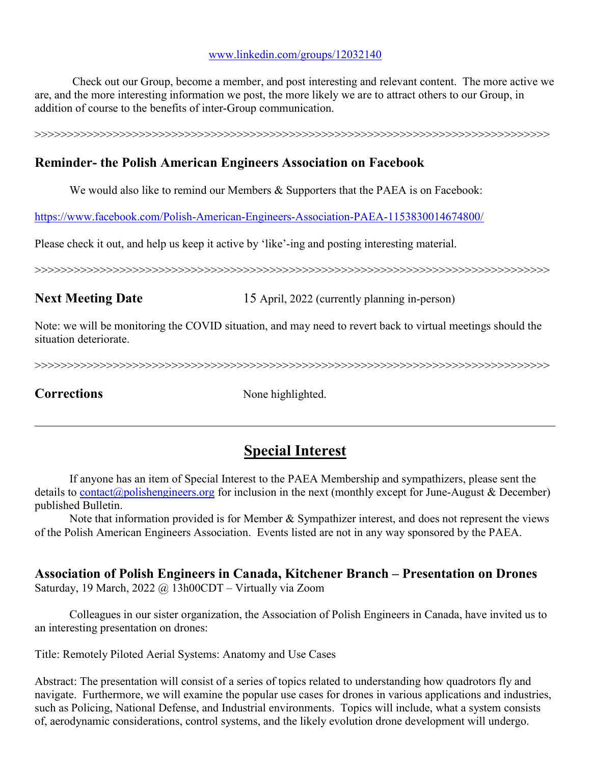#### www.linkedin.com/groups/12032140

 Check out our Group, become a member, and post interesting and relevant content. The more active we are, and the more interesting information we post, the more likely we are to attract others to our Group, in addition of course to the benefits of inter-Group communication.

>>>>>>>>>>>>>>>>>>>>>>>>>>>>>>>>>>>>>>>>>>>>>>>>>>>>>>>>>>>>>>>>>>>>>>>>>>>>>>>

## Reminder- the Polish American Engineers Association on Facebook

We would also like to remind our Members & Supporters that the PAEA is on Facebook:

https://www.facebook.com/Polish-American-Engineers-Association-PAEA-1153830014674800/

Please check it out, and help us keep it active by 'like'-ing and posting interesting material.

>>>>>>>>>>>>>>>>>>>>>>>>>>>>>>>>>>>>>>>>>>>>>>>>>>>>>>>>>>>>>>>>>>>>>>>>>>>>>>>

Next Meeting Date 15 April, 2022 (currently planning in-person)

Note: we will be monitoring the COVID situation, and may need to revert back to virtual meetings should the situation deteriorate.

>>>>>>>>>>>>>>>>>>>>>>>>>>>>>>>>>>>>>>>>>>>>>>>>>>>>>>>>>>>>>>>>>>>>>>>>>>>>>>>

Corrections None highlighted.

## Special Interest

 If anyone has an item of Special Interest to the PAEA Membership and sympathizers, please sent the details to contact@polishengineers.org for inclusion in the next (monthly except for June-August & December) published Bulletin.

 Note that information provided is for Member & Sympathizer interest, and does not represent the views of the Polish American Engineers Association. Events listed are not in any way sponsored by the PAEA.

## Association of Polish Engineers in Canada, Kitchener Branch – Presentation on Drones Saturday, 19 March, 2022 @ 13h00CDT – Virtually via Zoom

 Colleagues in our sister organization, the Association of Polish Engineers in Canada, have invited us to an interesting presentation on drones:

Title: Remotely Piloted Aerial Systems: Anatomy and Use Cases

Abstract: The presentation will consist of a series of topics related to understanding how quadrotors fly and navigate. Furthermore, we will examine the popular use cases for drones in various applications and industries, such as Policing, National Defense, and Industrial environments. Topics will include, what a system consists of, aerodynamic considerations, control systems, and the likely evolution drone development will undergo.